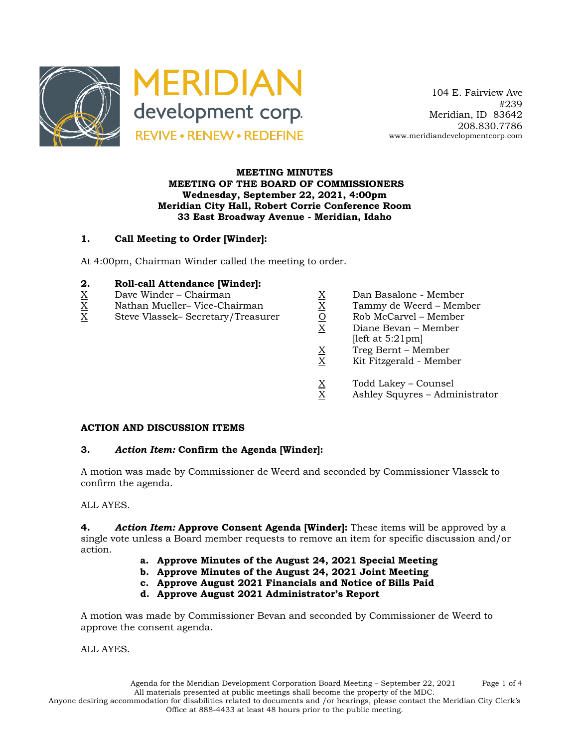

 104 E. Fairview Ave #239 Meridian, ID 83642 208.830.7786 www.meridiandevelopmentcorp.com

#### **MEETING MINUTES MEETING OF THE BOARD OF COMMISSIONERS Wednesday, September 22, 2021, 4:00pm Meridian City Hall, Robert Corrie Conference Room 33 East Broadway Avenue - Meridian, Idaho**

# **1. Call Meeting to Order [Winder]:**

At 4:00pm, Chairman Winder called the meeting to order.

# **2. Roll-call Attendance [Winder]:**<br><u>X</u> Dave Winder – Chairman<br><u>X</u> Nathan Mueller– Vice-Chairman

- 
- 
- Dave Winder Chairman  $\begin{array}{ccc}\n\text{X} & \text{Dan Basalone Member}\\ \n\text{Nathan Mueller- Vice-Chairman} & \underline{X} & \text{Tammy de Weerd Mem}\\ \n\text{Steve Vlassek- Secretary/Treasure} & \underline{O} & \text{Rob McCarvel Member}\n\end{array}$  $X$  Steve Vlassek– Secretary/Treasurer  $\begin{array}{ccc} \n 0 & \text{Rob McCarvel} - \text{Member} \\
\hline\n X & \text{Diane Bevan} - \text{Member}\n \end{array}$ 
	-
	- X Nathan Mueller– Vice-Chairman X Tammy de Weerd Member
		-
		- Diane Bevan Member
		- $[left at 5:21pm]$
		- $X = Treg$  Bernt Member<br>X Kit Fitzgerald Memb
		- X Kit Fitzgerald Member
		-
		- $X$  Todd Lakey Counsel<br>X Ashley Squyres Adm Ashley Squyres – Administrator

#### **ACTION AND DISCUSSION ITEMS**

# **3.** *Action Item:* **Confirm the Agenda [Winder]:**

A motion was made by Commissioner de Weerd and seconded by Commissioner Vlassek to confirm the agenda.

#### ALL AYES.

**4.** *Action Item:* **Approve Consent Agenda [Winder]:** These items will be approved by a single vote unless a Board member requests to remove an item for specific discussion and/or action.

- **a. Approve Minutes of the August 24, 2021 Special Meeting**
- **b. Approve Minutes of the August 24, 2021 Joint Meeting**
- **c. Approve August 2021 Financials and Notice of Bills Paid**

# **d. Approve August 2021 Administrator's Report**

A motion was made by Commissioner Bevan and seconded by Commissioner de Weerd to approve the consent agenda.

ALL AYES.

Agenda for the Meridian Development Corporation Board Meeting – September 22, 2021 Page 1 of 4 All materials presented at public meetings shall become the property of the MDC.

Anyone desiring accommodation for disabilities related to documents and /or hearings, please contact the Meridian City Clerk's Office at 888-4433 at least 48 hours prior to the public meeting.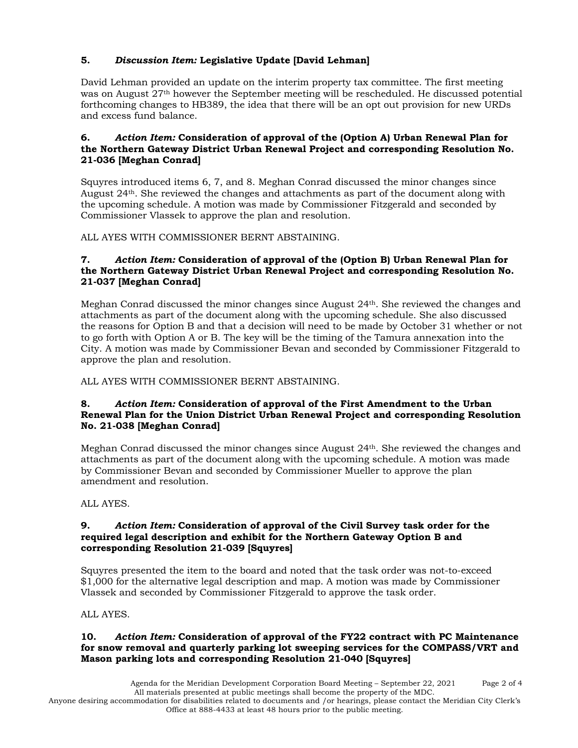# **5.** *Discussion Item:* **Legislative Update [David Lehman]**

David Lehman provided an update on the interim property tax committee. The first meeting was on August 27th however the September meeting will be rescheduled. He discussed potential forthcoming changes to HB389, the idea that there will be an opt out provision for new URDs and excess fund balance.

#### **6.** *Action Item:* **Consideration of approval of the (Option A) Urban Renewal Plan for the Northern Gateway District Urban Renewal Project and corresponding Resolution No. 21-036 [Meghan Conrad]**

Squyres introduced items 6, 7, and 8. Meghan Conrad discussed the minor changes since August 24th. She reviewed the changes and attachments as part of the document along with the upcoming schedule. A motion was made by Commissioner Fitzgerald and seconded by Commissioner Vlassek to approve the plan and resolution.

ALL AYES WITH COMMISSIONER BERNT ABSTAINING.

# **7.** *Action Item:* **Consideration of approval of the (Option B) Urban Renewal Plan for the Northern Gateway District Urban Renewal Project and corresponding Resolution No. 21-037 [Meghan Conrad]**

Meghan Conrad discussed the minor changes since August 24th. She reviewed the changes and attachments as part of the document along with the upcoming schedule. She also discussed the reasons for Option B and that a decision will need to be made by October 31 whether or not to go forth with Option A or B. The key will be the timing of the Tamura annexation into the City. A motion was made by Commissioner Bevan and seconded by Commissioner Fitzgerald to approve the plan and resolution.

# ALL AYES WITH COMMISSIONER BERNT ABSTAINING.

#### **8.** *Action Item:* **Consideration of approval of the First Amendment to the Urban Renewal Plan for the Union District Urban Renewal Project and corresponding Resolution No. 21-038 [Meghan Conrad]**

Meghan Conrad discussed the minor changes since August 24th. She reviewed the changes and attachments as part of the document along with the upcoming schedule. A motion was made by Commissioner Bevan and seconded by Commissioner Mueller to approve the plan amendment and resolution.

ALL AYES.

#### **9.** *Action Item:* **Consideration of approval of the Civil Survey task order for the required legal description and exhibit for the Northern Gateway Option B and corresponding Resolution 21-039 [Squyres]**

Squyres presented the item to the board and noted that the task order was not-to-exceed \$1,000 for the alternative legal description and map. A motion was made by Commissioner Vlassek and seconded by Commissioner Fitzgerald to approve the task order.

ALL AYES.

# **10.** *Action Item:* **Consideration of approval of the FY22 contract with PC Maintenance for snow removal and quarterly parking lot sweeping services for the COMPASS/VRT and Mason parking lots and corresponding Resolution 21-040 [Squyres]**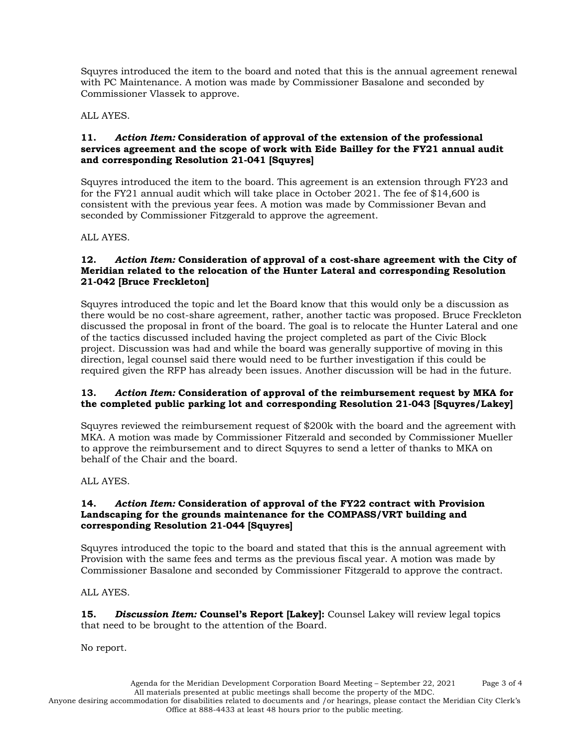Squyres introduced the item to the board and noted that this is the annual agreement renewal with PC Maintenance. A motion was made by Commissioner Basalone and seconded by Commissioner Vlassek to approve.

ALL AYES.

#### **11.** *Action Item:* **Consideration of approval of the extension of the professional services agreement and the scope of work with Eide Bailley for the FY21 annual audit and corresponding Resolution 21-041 [Squyres]**

Squyres introduced the item to the board. This agreement is an extension through FY23 and for the FY21 annual audit which will take place in October 2021. The fee of \$14,600 is consistent with the previous year fees. A motion was made by Commissioner Bevan and seconded by Commissioner Fitzgerald to approve the agreement.

ALL AYES.

# **12.** *Action Item:* **Consideration of approval of a cost-share agreement with the City of Meridian related to the relocation of the Hunter Lateral and corresponding Resolution 21-042 [Bruce Freckleton]**

Squyres introduced the topic and let the Board know that this would only be a discussion as there would be no cost-share agreement, rather, another tactic was proposed. Bruce Freckleton discussed the proposal in front of the board. The goal is to relocate the Hunter Lateral and one of the tactics discussed included having the project completed as part of the Civic Block project. Discussion was had and while the board was generally supportive of moving in this direction, legal counsel said there would need to be further investigation if this could be required given the RFP has already been issues. Another discussion will be had in the future.

# **13.** *Action Item:* **Consideration of approval of the reimbursement request by MKA for the completed public parking lot and corresponding Resolution 21-043 [Squyres/Lakey]**

Squyres reviewed the reimbursement request of \$200k with the board and the agreement with MKA. A motion was made by Commissioner Fitzerald and seconded by Commissioner Mueller to approve the reimbursement and to direct Squyres to send a letter of thanks to MKA on behalf of the Chair and the board.

ALL AYES.

#### **14.** *Action Item:* **Consideration of approval of the FY22 contract with Provision Landscaping for the grounds maintenance for the COMPASS/VRT building and corresponding Resolution 21-044 [Squyres]**

Squyres introduced the topic to the board and stated that this is the annual agreement with Provision with the same fees and terms as the previous fiscal year. A motion was made by Commissioner Basalone and seconded by Commissioner Fitzgerald to approve the contract.

ALL AYES.

**15.** *Discussion Item:* **Counsel's Report [Lakey]:** Counsel Lakey will review legal topics that need to be brought to the attention of the Board.

No report.